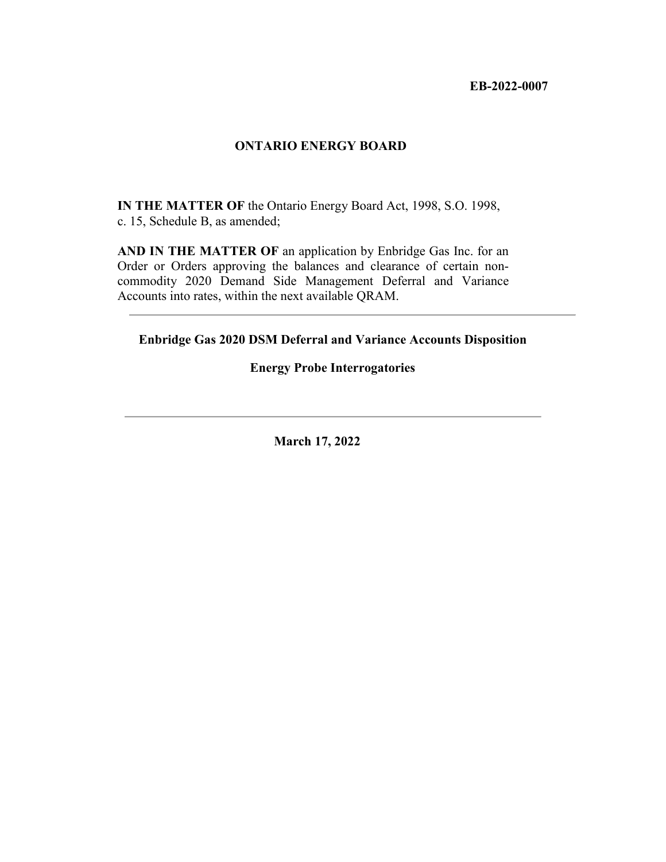**EB-2022-0007**

#### **ONTARIO ENERGY BOARD**

**IN THE MATTER OF** the Ontario Energy Board Act, 1998, S.O. 1998, c. 15, Schedule B, as amended;

**AND IN THE MATTER OF** an application by Enbridge Gas Inc. for an Order or Orders approving the balances and clearance of certain noncommodity 2020 Demand Side Management Deferral and Variance Accounts into rates, within the next available QRAM.

**Enbridge Gas 2020 DSM Deferral and Variance Accounts Disposition**

#### **Energy Probe Interrogatories**

**March 17, 2022**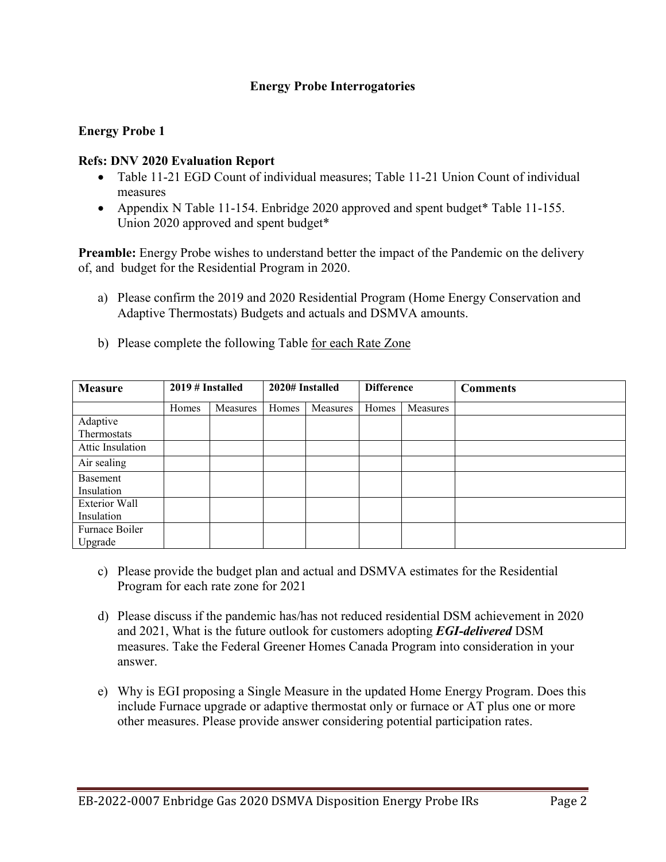# **Energy Probe Interrogatories**

# **Energy Probe 1**

#### **Refs: DNV 2020 Evaluation Report**

- Table 11-21 EGD Count of individual measures; Table 11-21 Union Count of individual measures
- Appendix N Table 11-154. Enbridge 2020 approved and spent budget\* Table 11-155. Union 2020 approved and spent budget\*

**Preamble:** Energy Probe wishes to understand better the impact of the Pandemic on the delivery of, and budget for the Residential Program in 2020.

- a) Please confirm the 2019 and 2020 Residential Program (Home Energy Conservation and Adaptive Thermostats) Budgets and actuals and DSMVA amounts.
- b) Please complete the following Table for each Rate Zone

| <b>Measure</b>            | $2019 \#$ Installed |          | 2020# Installed |          | <b>Difference</b> |          | <b>Comments</b> |
|---------------------------|---------------------|----------|-----------------|----------|-------------------|----------|-----------------|
|                           | Homes               | Measures | Homes           | Measures | Homes             | Measures |                 |
| Adaptive                  |                     |          |                 |          |                   |          |                 |
| Thermostats               |                     |          |                 |          |                   |          |                 |
| Attic Insulation          |                     |          |                 |          |                   |          |                 |
| Air sealing               |                     |          |                 |          |                   |          |                 |
| Basement<br>Insulation    |                     |          |                 |          |                   |          |                 |
| Exterior Wall             |                     |          |                 |          |                   |          |                 |
| Insulation                |                     |          |                 |          |                   |          |                 |
| Furnace Boiler<br>Upgrade |                     |          |                 |          |                   |          |                 |

- c) Please provide the budget plan and actual and DSMVA estimates for the Residential Program for each rate zone for 2021
- d) Please discuss if the pandemic has/has not reduced residential DSM achievement in 2020 and 2021, What is the future outlook for customers adopting *EGI-delivered* DSM measures. Take the Federal Greener Homes Canada Program into consideration in your answer.
- e) Why is EGI proposing a Single Measure in the updated Home Energy Program. Does this include Furnace upgrade or adaptive thermostat only or furnace or AT plus one or more other measures. Please provide answer considering potential participation rates.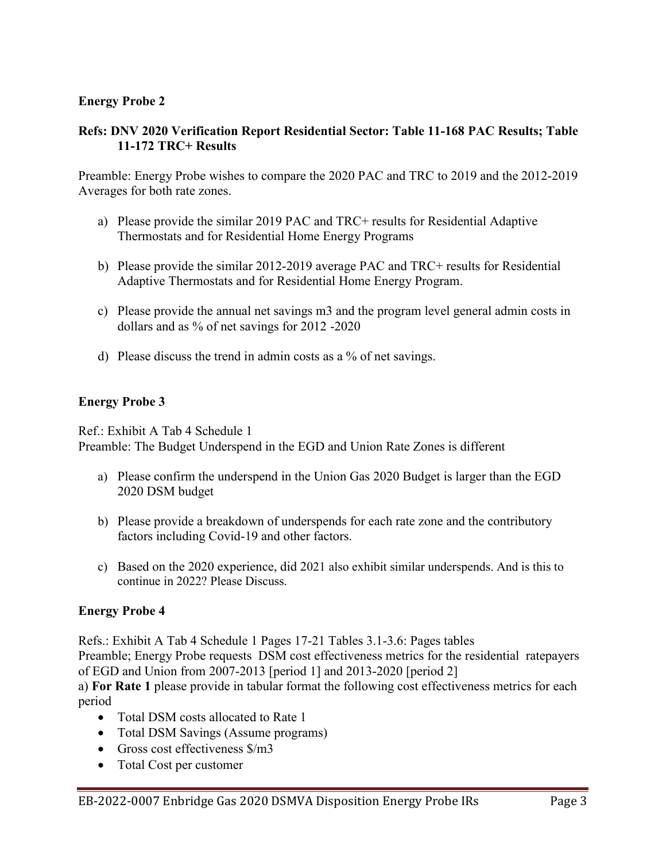# **Energy Probe 2**

## **Refs: DNV 2020 Verification Report Residential Sector: Table 11-168 PAC Results; Table 11-172 TRC+ Results**

Preamble: Energy Probe wishes to compare the 2020 PAC and TRC to 2019 and the 2012-2019 Averages for both rate zones.

- a) Please provide the similar 2019 PAC and TRC+ results for Residential Adaptive Thermostats and for Residential Home Energy Programs
- b) Please provide the similar 2012-2019 average PAC and TRC+ results for Residential Adaptive Thermostats and for Residential Home Energy Program.
- c) Please provide the annual net savings m3 and the program level general admin costs in dollars and as % of net savings for 2012 -2020
- d) Please discuss the trend in admin costs as a % of net savings.

# **Energy Probe 3**

Ref.: Exhibit A Tab 4 Schedule 1 Preamble: The Budget Underspend in the EGD and Union Rate Zones is different

- a) Please confirm the underspend in the Union Gas 2020 Budget is larger than the EGD 2020 DSM budget
- b) Please provide a breakdown of underspends for each rate zone and the contributory factors including Covid-19 and other factors.
- c) Based on the 2020 experience, did 2021 also exhibit similar underspends. And is this to continue in 2022? Please Discuss.

# **Energy Probe 4**

Refs.: Exhibit A Tab 4 Schedule 1 Pages 17-21 Tables 3.1-3.6: Pages tables Preamble; Energy Probe requests DSM cost effectiveness metrics for the residential ratepayers of EGD and Union from 2007-2013 [period 1] and 2013-2020 [period 2]

a) **For Rate 1** please provide in tabular format the following cost effectiveness metrics for each period

- Total DSM costs allocated to Rate 1
- Total DSM Savings (Assume programs)
- Gross cost effectiveness  $\frac{1}{2}$  m3
- Total Cost per customer